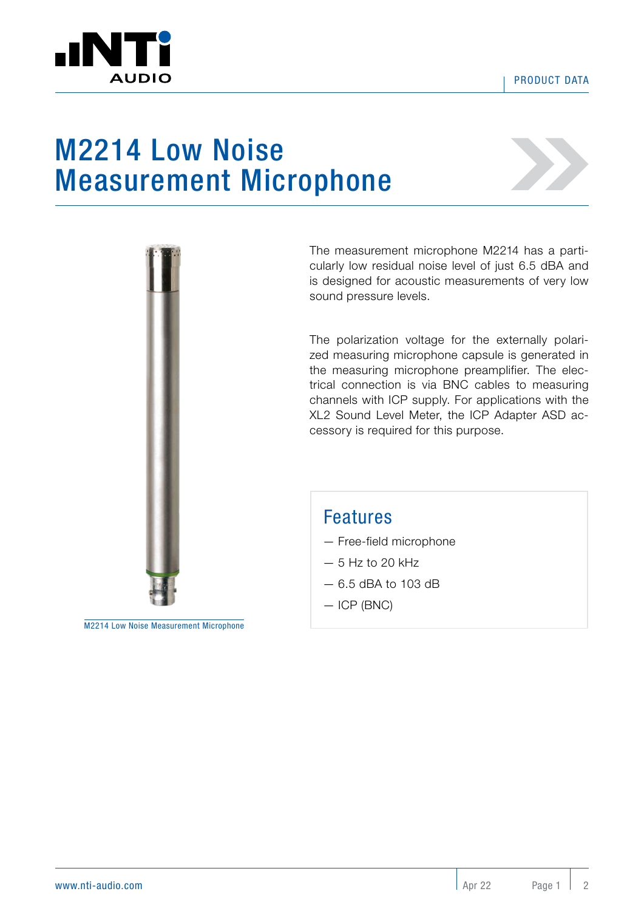

## M2214 Low Noise Measurement Microphone



The measurement microphone M2214 has a particularly low residual noise level of just 6.5 dBA and is designed for acoustic measurements of very low sound pressure levels.

The polarization voltage for the externally polarized measuring microphone capsule is generated in the measuring microphone preamplifier. The electrical connection is via BNC cables to measuring channels with ICP supply. For applications with the XL2 Sound Level Meter, the ICP Adapter ASD accessory is required for this purpose.

## Features

- Free-field microphone
- $-5$  Hz to 20 kHz
- 6.5 dBA to 103 dB
- ICP (BNC)

M2214 Low Noise Measurement Microphone